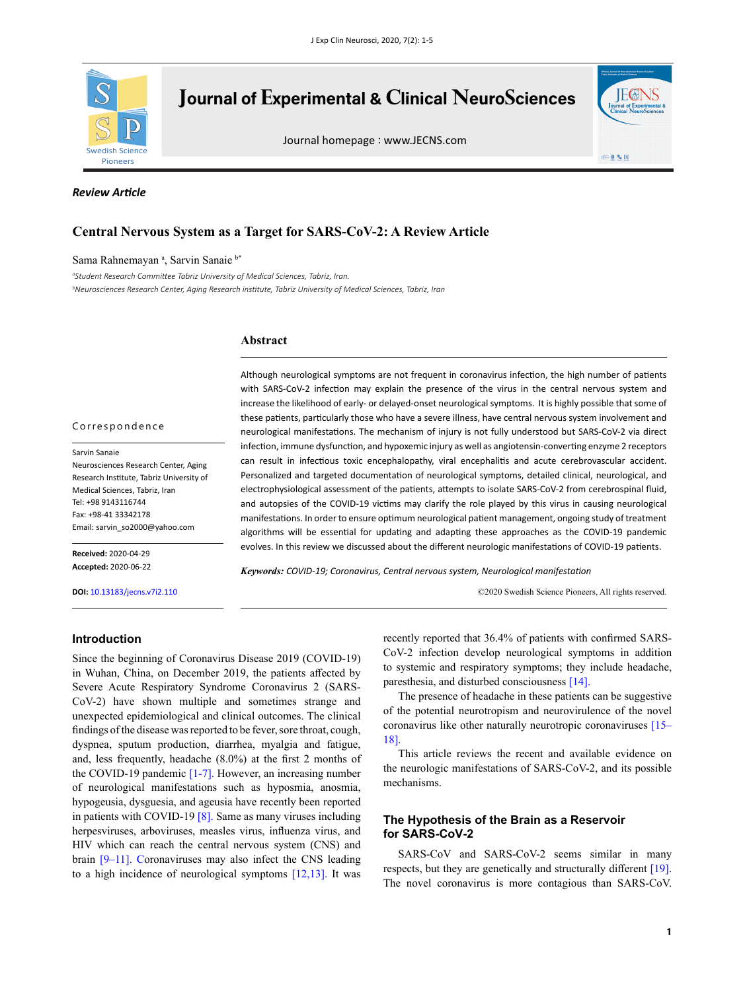

# **Journal of Experimental & Clinical NeuroSciences**

Journal homepage : www.JECNS.com



### *Review Article*

# **Central Nervous System as a Target for SARS-CoV-2: A Review Article**

### Sama Rahnemayan a, Sarvin Sanaie b\*

*a Student Research Committee Tabriz University of Medical Sciences, Tabriz, Iran. b Neurosciences Research Center, Aging Research institute, Tabriz University of Medical Sciences, Tabriz, Iran*

### **Abstract**

### Correspondence

Sarvin Sanaie Neurosciences Research Center, Aging Research Institute, Tabriz University of Medical Sciences, Tabriz, Iran Tel: +98 9143116744 Fax: +98-41 33342178 Email: sarvin\_so2000@yahoo.com

**Received:** 2020-04-29 **Accepted:** 2020-06-22

**DOI:** 10.13183/jecns.v7i2.110

## **Introduction**

Since the beginning of Coronavirus Disease 2019 (COVID-19) in Wuhan, China, on December 2019, the patients affected by Severe Acute Respiratory Syndrome Coronavirus 2 (SARS-CoV-2) have shown multiple and sometimes strange and unexpected epidemiological and clinical outcomes. The clinical findings of the disease was reported to be fever, sore throat, cough, dyspnea, sputum production, diarrhea, myalgia and fatigue, and, less frequently, headache (8.0%) at the first 2 months of the COVID-19 pandemic [\[1-7\]](#page-3-0). However, an increasing number of neurological manifestations such as hyposmia, anosmia, hypogeusia, dysguesia, and ageusia have recently been reported in patients with COVID-19 [\[8\].](#page-3-1) Same as many viruses including herpesviruses, arboviruses, measles virus, influenza virus, and HIV which can reach the central nervous system (CNS) and brain [\[9–11\].](#page-3-2) Coronaviruses may also infect the CNS leading to a high incidence of neurological symptoms [\[12,](#page-3-3)[13\]](#page-3-4). It was

Although neurological symptoms are not frequent in coronavirus infection, the high number of patients with SARS-CoV-2 infection may explain the presence of the virus in the central nervous system and increase the likelihood of early- or delayed-onset neurological symptoms. It is highly possible that some of these patients, particularly those who have a severe illness, have central nervous system involvement and neurological manifestations. The mechanism of injury is not fully understood but SARS-CoV-2 via direct infection, immune dysfunction, and hypoxemic injury as well as angiotensin-converting enzyme 2 receptors can result in infectious toxic encephalopathy, viral encephalitis and acute cerebrovascular accident. Personalized and targeted documentation of neurological symptoms, detailed clinical, neurological, and electrophysiological assessment of the patients, attempts to isolate SARS-CoV-2 from cerebrospinal fluid, and autopsies of the COVID-19 victims may clarify the role played by this virus in causing neurological manifestations. In order to ensure optimum neurological patient management, ongoing study of treatment algorithms will be essential for updating and adapting these approaches as the COVID-19 pandemic evolves. In this review we discussed about the different neurologic manifestations of COVID-19 patients.

*Keywords: COVID-19; Coronavirus, Central nervous system, Neurological manifestation*

©2020 Swedish Science Pioneers, All rights reserved.

recently reported that 36.4% of patients with confirmed SARS-CoV-2 infection develop neurological symptoms in addition to systemic and respiratory symptoms; they include headache, paresthesia, and disturbed consciousness [\[14\].](#page-3-5)

The presence of headache in these patients can be suggestive of the potential neurotropism and neurovirulence of the novel coronavirus like other naturally neurotropic coronaviruses [\[15–](#page-3-6) [18\].](#page-3-6)

This article reviews the recent and available evidence on the neurologic manifestations of SARS-CoV-2, and its possible mechanisms.

# **The Hypothesis of the Brain as a Reservoir for SARS-CoV-2**

SARS-CoV and SARS-CoV-2 seems similar in many respects, but they are genetically and structurally different [\[19\]](#page-3-7). The novel coronavirus is more contagious than SARS-CoV.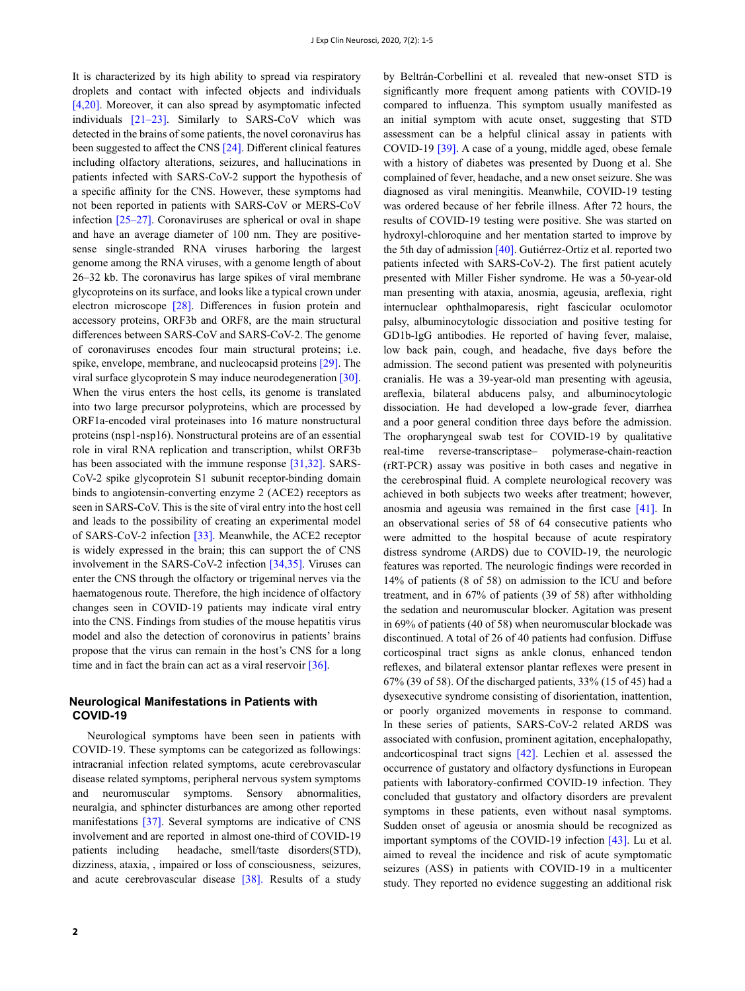It is characterized by its high ability to spread via respiratory droplets and contact with infected objects and individuals [\[4,](#page-3-8)[20\].](#page-3-9) Moreover, it can also spread by asymptomatic infected individuals [\[21–23\]](#page-3-10). Similarly to SARS-CoV which was detected in the brains of some patients, the novel coronavirus has been suggested to affect the CNS [\[24\]](#page-3-11). Different clinical features including olfactory alterations, seizures, and hallucinations in patients infected with SARS-CoV-2 support the hypothesis of a specific affinity for the CNS. However, these symptoms had not been reported in patients with SARS-CoV or MERS-CoV infection [\[25–27\]](#page-3-12). Coronaviruses are spherical or oval in shape and have an average diameter of 100 nm. They are positivesense single-stranded RNA viruses harboring the largest genome among the RNA viruses, with a genome length of about 26–32 kb. The coronavirus has large spikes of viral membrane glycoproteins on its surface, and looks like a typical crown under electron microscope [\[28\]](#page-3-13). Differences in fusion protein and accessory proteins, ORF3b and ORF8, are the main structural differences between SARS-CoV and SARS-CoV-2. The genome of coronaviruses encodes four main structural proteins; i.e. spike, envelope, membrane, and nucleocapsid proteins [\[29\]](#page-3-14). The viral surface glycoprotein S may induce neurodegeneration [\[30\]](#page-4-0). When the virus enters the host cells, its genome is translated into two large precursor polyproteins, which are processed by ORF1a-encoded viral proteinases into 16 mature nonstructural proteins (nsp1-nsp16). Nonstructural proteins are of an essential role in viral RNA replication and transcription, whilst ORF3b has been associated with the immune response [\[31,](#page-4-1)[32\]](#page-4-2). SARS-CoV-2 spike glycoprotein S1 subunit receptor-binding domain binds to angiotensin-converting enzyme 2 (ACE2) receptors as seen in SARS-CoV. This is the site of viral entry into the host cell and leads to the possibility of creating an experimental model of SARS-CoV-2 infection [\[33\]](#page-4-3). Meanwhile, the ACE2 receptor is widely expressed in the brain; this can support the of CNS involvement in the SARS-CoV-2 infection [\[34,](#page-4-4)[35\]](#page-4-5). Viruses can enter the CNS through the olfactory or trigeminal nerves via the haematogenous route. Therefore, the high incidence of olfactory changes seen in COVID-19 patients may indicate viral entry into the CNS. Findings from studies of the mouse hepatitis virus model and also the detection of coronovirus in patients' brains propose that the virus can remain in the host's CNS for a long time and in fact the brain can act as a viral reservoir [\[36\].](#page-4-6)

# **Neurological Manifestations in Patients with COVID-19**

Neurological symptoms have been seen in patients with COVID-19. These symptoms can be categorized as followings: intracranial infection related symptoms, acute cerebrovascular disease related symptoms, peripheral nervous system symptoms and neuromuscular symptoms. Sensory abnormalities, neuralgia, and sphincter disturbances are among other reported manifestations [\[37\]](#page-4-7). Several symptoms are indicative of CNS involvement and are reported in almost one-third of COVID-19 patients including headache, smell/taste disorders(STD), dizziness, ataxia, , impaired or loss of consciousness, seizures, and acute cerebrovascular disease [\[38\].](#page-4-8) Results of a study

compared to influenza. This symptom usually manifested as an initial symptom with acute onset, suggesting that STD assessment can be a helpful clinical assay in patients with COVID-19 [\[39\]](#page-4-9). A case of a young, middle aged, obese female with a history of diabetes was presented by Duong et al. She complained of fever, headache, and a new onset seizure. She was diagnosed as viral meningitis. Meanwhile, COVID-19 testing was ordered because of her febrile illness. After 72 hours, the results of COVID-19 testing were positive. She was started on hydroxyl-chloroquine and her mentation started to improve by the 5th day of admission [\[40\].](#page-4-10) Gutiérrez-Ortiz et al. reported two patients infected with SARS-CoV-2). The first patient acutely presented with Miller Fisher syndrome. He was a 50-year-old man presenting with ataxia, anosmia, ageusia, areflexia, right internuclear ophthalmoparesis, right fascicular oculomotor palsy, albuminocytologic dissociation and positive testing for GD1b-IgG antibodies. He reported of having fever, malaise, low back pain, cough, and headache, five days before the admission. The second patient was presented with polyneuritis cranialis. He was a 39-year-old man presenting with ageusia, areflexia, bilateral abducens palsy, and albuminocytologic dissociation. He had developed a low-grade fever, diarrhea and a poor general condition three days before the admission. The oropharyngeal swab test for COVID-19 by qualitative real-time reverse-transcriptase– polymerase-chain-reaction (rRT-PCR) assay was positive in both cases and negative in the cerebrospinal fluid. A complete neurological recovery was achieved in both subjects two weeks after treatment; however, anosmia and ageusia was remained in the first case [\[41\]](#page-4-11). In an observational series of 58 of 64 consecutive patients who were admitted to the hospital because of acute respiratory distress syndrome (ARDS) due to COVID-19, the neurologic features was reported. The neurologic findings were recorded in 14% of patients (8 of 58) on admission to the ICU and before treatment, and in 67% of patients (39 of 58) after withholding the sedation and neuromuscular blocker. Agitation was present in 69% of patients (40 of 58) when neuromuscular blockade was discontinued. A total of 26 of 40 patients had confusion. Diffuse corticospinal tract signs as ankle clonus, enhanced tendon reflexes, and bilateral extensor plantar reflexes were present in 67% (39 of 58). Of the discharged patients, 33% (15 of 45) had a dysexecutive syndrome consisting of disorientation, inattention, or poorly organized movements in response to command. In these series of patients, SARS-CoV-2 related ARDS was associated with confusion, prominent agitation, encephalopathy, andcorticospinal tract signs [\[42\].](#page-4-12) Lechien et al. assessed the occurrence of gustatory and olfactory dysfunctions in European patients with laboratory-confirmed COVID-19 infection. They concluded that gustatory and olfactory disorders are prevalent symptoms in these patients, even without nasal symptoms. Sudden onset of ageusia or anosmia should be recognized as important symptoms of the COVID-19 infection [\[43\]](#page-4-13). Lu et al. aimed to reveal the incidence and risk of acute symptomatic seizures (ASS) in patients with COVID-19 in a multicenter study. They reported no evidence suggesting an additional risk

by Beltrán-Corbellini et al. revealed that new-onset STD is significantly more frequent among patients with COVID-19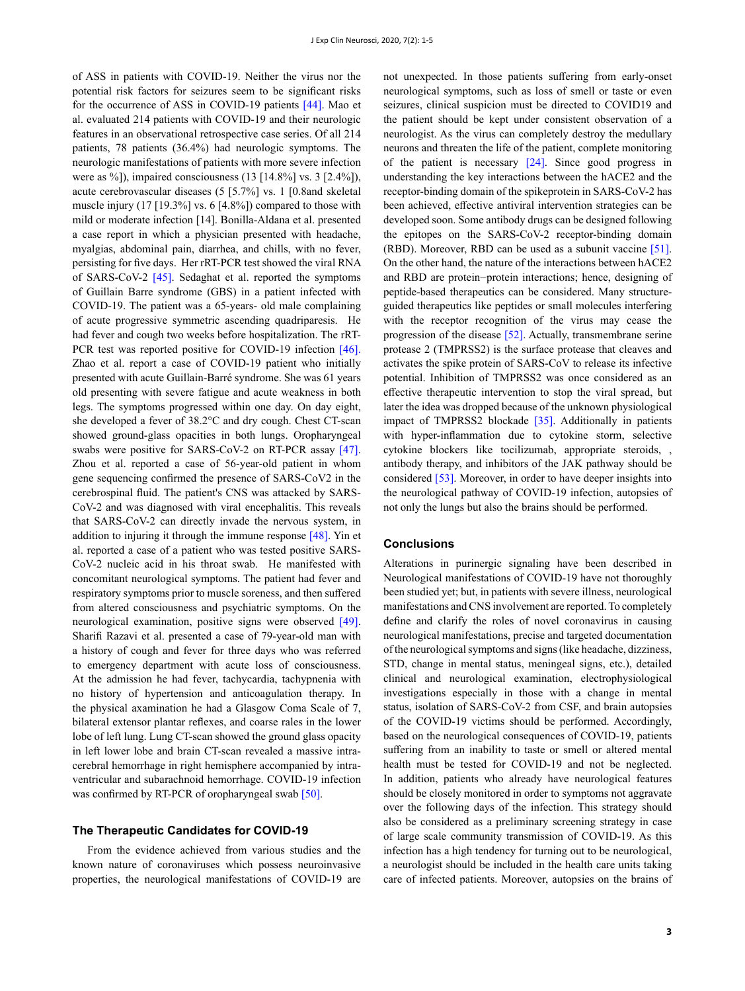of ASS in patients with COVID-19. Neither the virus nor the potential risk factors for seizures seem to be significant risks for the occurrence of ASS in COVID-19 patients [\[44\].](#page-4-14) Mao et al. evaluated 214 patients with COVID-19 and their neurologic features in an observational retrospective case series. Of all 214 patients, 78 patients (36.4%) had neurologic symptoms. The neurologic manifestations of patients with more severe infection were as %]), impaired consciousness (13 [14.8%] vs. 3 [2.4%]), acute cerebrovascular diseases (5 [5.7%] vs. 1 [0.8and skeletal muscle injury (17 [19.3%] vs. 6 [4.8%]) compared to those with mild or moderate infection [14]. Bonilla-Aldana et al. presented a case report in which a physician presented with headache, myalgias, abdominal pain, diarrhea, and chills, with no fever, persisting for five days. Her rRT-PCR test showed the viral RNA of SARS-CoV-2 [\[45\]](#page-4-15). Sedaghat et al. reported the symptoms of Guillain Barre syndrome (GBS) in a patient infected with COVID-19. The patient was a 65-years- old male complaining of acute progressive symmetric ascending quadriparesis. He had fever and cough two weeks before hospitalization. The rRT-PCR test was reported positive for COVID-19 infection [\[46\].](#page-4-16) Zhao et al. report a case of COVID-19 patient who initially presented with acute Guillain-Barré syndrome. She was 61 years old presenting with severe fatigue and acute weakness in both legs. The symptoms progressed within one day. On day eight, she developed a fever of 38.2°C and dry cough. Chest CT-scan showed ground-glass opacities in both lungs. Oropharyngeal swabs were positive for SARS-CoV-2 on RT-PCR assay [\[47\].](#page-4-17) Zhou et al. reported a case of 56-year-old patient in whom gene sequencing confirmed the presence of SARS-CoV2 in the cerebrospinal fluid. The patient's CNS was attacked by SARS-CoV-2 and was diagnosed with viral encephalitis. This reveals that SARS-CoV-2 can directly invade the nervous system, in addition to injuring it through the immune response [\[48\].](#page-4-18) Yin et al. reported a case of a patient who was tested positive SARS-CoV-2 nucleic acid in his throat swab. He manifested with concomitant neurological symptoms. The patient had fever and respiratory symptoms prior to muscle soreness, and then suffered from altered consciousness and psychiatric symptoms. On the neurological examination, positive signs were observed [\[49\].](#page-4-19) Sharifi Razavi et al. presented a case of 79-year-old man with a history of cough and fever for three days who was referred to emergency department with acute loss of consciousness. At the admission he had fever, tachycardia, tachypnenia with no history of hypertension and anticoagulation therapy. In the physical axamination he had a Glasgow Coma Scale of 7, bilateral extensor plantar reflexes, and coarse rales in the lower lobe of left lung. Lung CT-scan showed the ground glass opacity in left lower lobe and brain CT-scan revealed a massive intracerebral hemorrhage in right hemisphere accompanied by intraventricular and subarachnoid hemorrhage. COVID-19 infection was confirmed by RT-PCR of oropharyngeal swab [\[50\]](#page-4-20).

### **The Therapeutic Candidates for COVID-19**

From the evidence achieved from various studies and the known nature of coronaviruses which possess neuroinvasive properties, the neurological manifestations of COVID-19 are

not unexpected. In those patients suffering from early-onset neurological symptoms, such as loss of smell or taste or even seizures, clinical suspicion must be directed to COVID19 and the patient should be kept under consistent observation of a neurologist. As the virus can completely destroy the medullary neurons and threaten the life of the patient, complete monitoring of the patient is necessary [\[24\]](#page-3-11). Since good progress in understanding the key interactions between the hACE2 and the receptor-binding domain of the spikeprotein in SARS-CoV-2 has been achieved, effective antiviral intervention strategies can be developed soon. Some antibody drugs can be designed following the epitopes on the SARS-CoV-2 receptor-binding domain (RBD). Moreover, RBD can be used as a subunit vaccine [\[51\]](#page-4-21). On the other hand, the nature of the interactions between hACE2 and RBD are protein−protein interactions; hence, designing of peptide-based therapeutics can be considered. Many structureguided therapeutics like peptides or small molecules interfering with the receptor recognition of the virus may cease the progression of the disease [\[52\]](#page-4-22). Actually, transmembrane serine protease 2 (TMPRSS2) is the surface protease that cleaves and activates the spike protein of SARS-CoV to release its infective potential. Inhibition of TMPRSS2 was once considered as an effective therapeutic intervention to stop the viral spread, but later the idea was dropped because of the unknown physiological impact of TMPRSS2 blockade [\[35\]](#page-4-5). Additionally in patients with hyper-inflammation due to cytokine storm, selective cytokine blockers like tocilizumab, appropriate steroids, , antibody therapy, and inhibitors of the JAK pathway should be considered [\[53\]](#page-4-23). Moreover, in order to have deeper insights into the neurological pathway of COVID-19 infection, autopsies of not only the lungs but also the brains should be performed.

### **Conclusions**

Alterations in purinergic signaling have been described in Neurological manifestations of COVID-19 have not thoroughly been studied yet; but, in patients with severe illness, neurological manifestations and CNS involvement are reported. To completely define and clarify the roles of novel coronavirus in causing neurological manifestations, precise and targeted documentation of the neurological symptoms and signs (like headache, dizziness, STD, change in mental status, meningeal signs, etc.), detailed clinical and neurological examination, electrophysiological investigations especially in those with a change in mental status, isolation of SARS-CoV-2 from CSF, and brain autopsies of the COVID-19 victims should be performed. Accordingly, based on the neurological consequences of COVID-19, patients suffering from an inability to taste or smell or altered mental health must be tested for COVID-19 and not be neglected. In addition, patients who already have neurological features should be closely monitored in order to symptoms not aggravate over the following days of the infection. This strategy should also be considered as a preliminary screening strategy in case of large scale community transmission of COVID-19. As this infection has a high tendency for turning out to be neurological, a neurologist should be included in the health care units taking care of infected patients. Moreover, autopsies on the brains of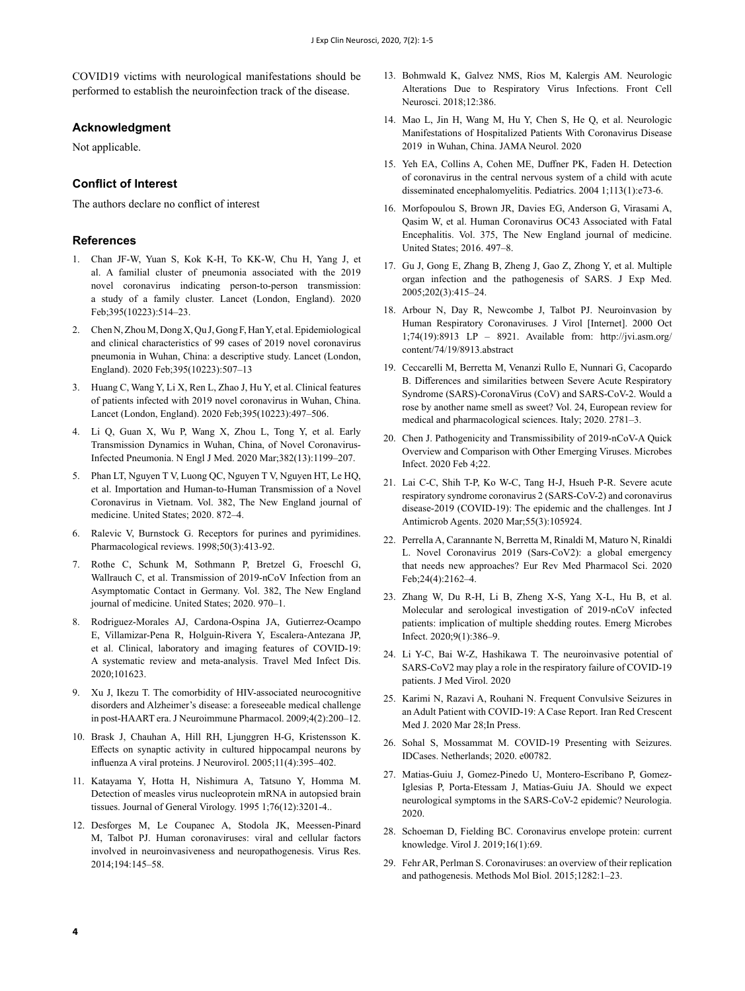COVID19 victims with neurological manifestations should be performed to establish the neuroinfection track of the disease.

#### **Acknowledgment**

Not applicable.

### **Conflict of Interest**

The authors declare no conflict of interest

#### **References**

- <span id="page-3-0"></span>1. Chan JF-W, Yuan S, Kok K-H, To KK-W, Chu H, Yang J, et al. A familial cluster of pneumonia associated with the 2019 novel coronavirus indicating person-to-person transmission: a study of a family cluster. Lancet (London, England). 2020 Feb;395(10223):514–23.
- 2. Chen N, Zhou M, Dong X, Qu J, Gong F, Han Y, et al. Epidemiological and clinical characteristics of 99 cases of 2019 novel coronavirus pneumonia in Wuhan, China: a descriptive study. Lancet (London, England). 2020 Feb;395(10223):507–13
- 3. Huang C, Wang Y, Li X, Ren L, Zhao J, Hu Y, et al. Clinical features of patients infected with 2019 novel coronavirus in Wuhan, China. Lancet (London, England). 2020 Feb;395(10223):497–506.
- <span id="page-3-8"></span>4. Li Q, Guan X, Wu P, Wang X, Zhou L, Tong Y, et al. Early Transmission Dynamics in Wuhan, China, of Novel Coronavirus-Infected Pneumonia. N Engl J Med. 2020 Mar;382(13):1199–207.
- 5. Phan LT, Nguyen T V, Luong QC, Nguyen T V, Nguyen HT, Le HQ, et al. Importation and Human-to-Human Transmission of a Novel Coronavirus in Vietnam. Vol. 382, The New England journal of medicine. United States; 2020. 872–4.
- 6. Ralevic V, Burnstock G. Receptors for purines and pyrimidines. Pharmacological reviews. 1998;50(3):413-92.
- 7. Rothe C, Schunk M, Sothmann P, Bretzel G, Froeschl G, Wallrauch C, et al. Transmission of 2019-nCoV Infection from an Asymptomatic Contact in Germany. Vol. 382, The New England journal of medicine. United States; 2020. 970–1.
- <span id="page-3-1"></span>8. Rodriguez-Morales AJ, Cardona-Ospina JA, Gutierrez-Ocampo E, Villamizar-Pena R, Holguin-Rivera Y, Escalera-Antezana JP, et al. Clinical, laboratory and imaging features of COVID-19: A systematic review and meta-analysis. Travel Med Infect Dis. 2020;101623.
- <span id="page-3-2"></span>9. Xu J, Ikezu T. The comorbidity of HIV-associated neurocognitive disorders and Alzheimer's disease: a foreseeable medical challenge in post-HAART era. J Neuroimmune Pharmacol. 2009;4(2):200–12.
- 10. Brask J, Chauhan A, Hill RH, Ljunggren H-G, Kristensson K. Effects on synaptic activity in cultured hippocampal neurons by influenza A viral proteins. J Neurovirol. 2005;11(4):395–402.
- 11. Katayama Y, Hotta H, Nishimura A, Tatsuno Y, Homma M. Detection of measles virus nucleoprotein mRNA in autopsied brain tissues. Journal of General Virology. 1995 1;76(12):3201-4..
- <span id="page-3-3"></span>12. Desforges M, Le Coupanec A, Stodola JK, Meessen-Pinard M, Talbot PJ. Human coronaviruses: viral and cellular factors involved in neuroinvasiveness and neuropathogenesis. Virus Res. 2014;194:145–58.
- <span id="page-3-4"></span>13. Bohmwald K, Galvez NMS, Rios M, Kalergis AM. Neurologic Alterations Due to Respiratory Virus Infections. Front Cell Neurosci. 2018;12:386.
- <span id="page-3-5"></span>14. Mao L, Jin H, Wang M, Hu Y, Chen S, He Q, et al. Neurologic Manifestations of Hospitalized Patients With Coronavirus Disease 2019 in Wuhan, China. JAMA Neurol. 2020
- <span id="page-3-6"></span>15. Yeh EA, Collins A, Cohen ME, Duffner PK, Faden H. Detection of coronavirus in the central nervous system of a child with acute disseminated encephalomyelitis. Pediatrics. 2004 1;113(1):e73-6.
- 16. Morfopoulou S, Brown JR, Davies EG, Anderson G, Virasami A, Qasim W, et al. Human Coronavirus OC43 Associated with Fatal Encephalitis. Vol. 375, The New England journal of medicine. United States; 2016. 497–8.
- 17. Gu J, Gong E, Zhang B, Zheng J, Gao Z, Zhong Y, et al. Multiple organ infection and the pathogenesis of SARS. J Exp Med. 2005;202(3):415–24.
- 18. Arbour N, Day R, Newcombe J, Talbot PJ. Neuroinvasion by Human Respiratory Coronaviruses. J Virol [Internet]. 2000 Oct 1;74(19):8913 LP – 8921. Available from: http://jvi.asm.org/ content/74/19/8913.abstract
- <span id="page-3-7"></span>19. Ceccarelli M, Berretta M, Venanzi Rullo E, Nunnari G, Cacopardo B. Differences and similarities between Severe Acute Respiratory Syndrome (SARS)-CoronaVirus (CoV) and SARS-CoV-2. Would a rose by another name smell as sweet? Vol. 24, European review for medical and pharmacological sciences. Italy; 2020. 2781–3.
- <span id="page-3-9"></span>20. Chen J. Pathogenicity and Transmissibility of 2019-nCoV-A Quick Overview and Comparison with Other Emerging Viruses. Microbes Infect. 2020 Feb 4;22.
- <span id="page-3-10"></span>21. Lai C-C, Shih T-P, Ko W-C, Tang H-J, Hsueh P-R. Severe acute respiratory syndrome coronavirus 2 (SARS-CoV-2) and coronavirus disease-2019 (COVID-19): The epidemic and the challenges. Int J Antimicrob Agents. 2020 Mar;55(3):105924.
- 22. Perrella A, Carannante N, Berretta M, Rinaldi M, Maturo N, Rinaldi L. Novel Coronavirus 2019 (Sars-CoV2): a global emergency that needs new approaches? Eur Rev Med Pharmacol Sci. 2020 Feb;24(4):2162–4.
- 23. Zhang W, Du R-H, Li B, Zheng X-S, Yang X-L, Hu B, et al. Molecular and serological investigation of 2019-nCoV infected patients: implication of multiple shedding routes. Emerg Microbes Infect. 2020;9(1):386–9.
- <span id="page-3-11"></span>24. Li Y-C, Bai W-Z, Hashikawa T. The neuroinvasive potential of SARS-CoV2 may play a role in the respiratory failure of COVID-19 patients. J Med Virol. 2020
- <span id="page-3-12"></span>25. Karimi N, Razavi A, Rouhani N. Frequent Convulsive Seizures in an Adult Patient with COVID-19: A Case Report. Iran Red Crescent Med J. 2020 Mar 28;In Press.
- 26. Sohal S, Mossammat M. COVID-19 Presenting with Seizures. IDCases. Netherlands; 2020. e00782.
- 27. Matias-Guiu J, Gomez-Pinedo U, Montero-Escribano P, Gomez-Iglesias P, Porta-Etessam J, Matias-Guiu JA. Should we expect neurological symptoms in the SARS-CoV-2 epidemic? Neurologia. 2020.
- <span id="page-3-13"></span>28. Schoeman D, Fielding BC. Coronavirus envelope protein: current knowledge. Virol J. 2019;16(1):69.
- <span id="page-3-14"></span>29. Fehr AR, Perlman S. Coronaviruses: an overview of their replication and pathogenesis. Methods Mol Biol. 2015;1282:1–23.